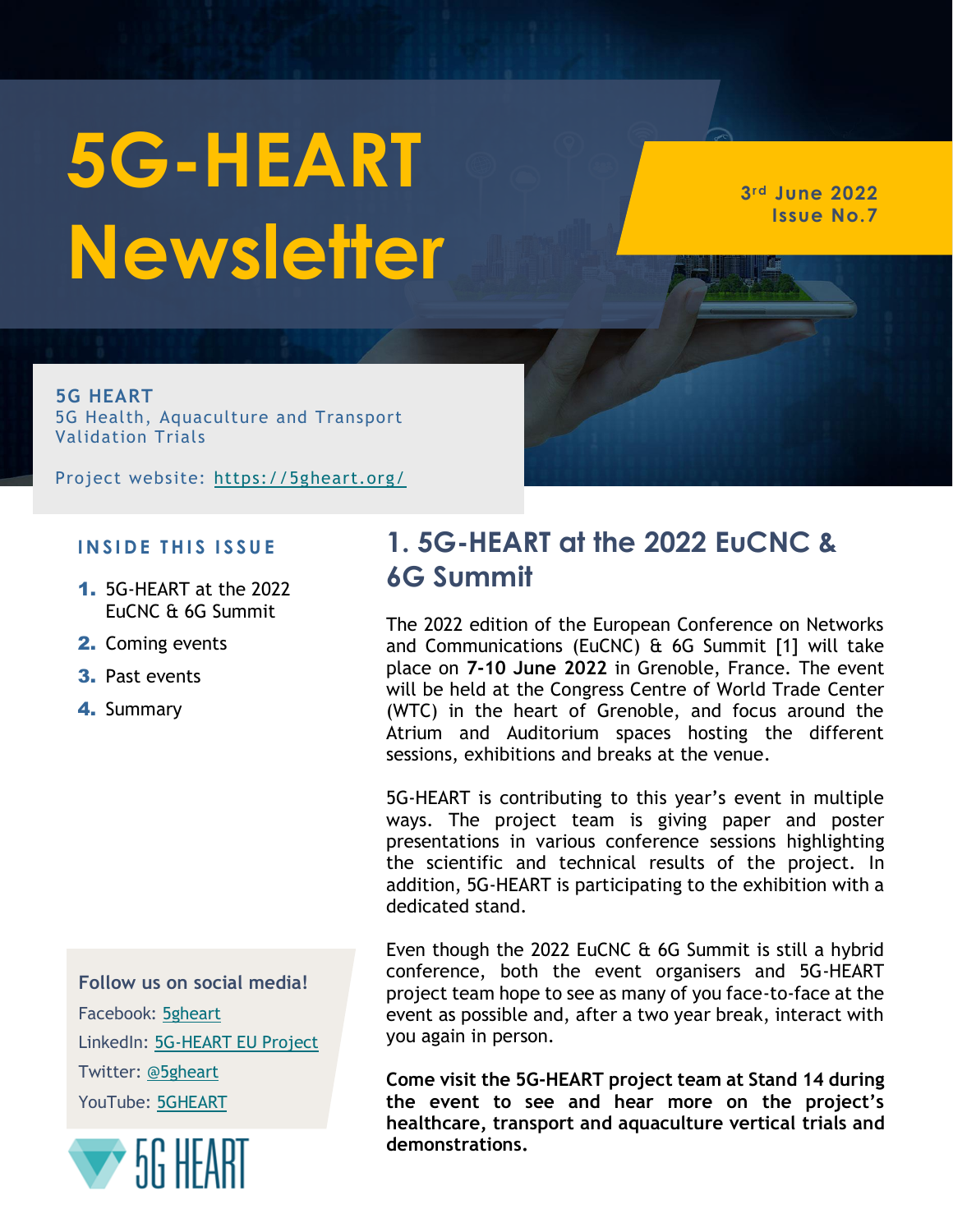# **5G-HEART Newsletter**

**3rd June 2022 Issue No.7**

**5G HEART** 5G Health, Aquaculture and Transport Validation Trials

Project website:<https://5gheart.org/>

#### **I N S I D E T H I S I S S U E**

- 1. 5G-HEART at the 2022 EuCNC & 6G Summit
- 2. Coming events
- 3. Past events
- 4. Summary

**Follow us on social media!** Facebook: [5gheart](https://www.facebook.com/5gheart/) LinkedIn: [5G-HEART EU Project](https://www.linkedin.com/in/5g-heart-eu-project-7604b9195/) Twitter: [@5gheart](https://twitter.com/5gheart) YouTube: [5GHEART](https://www.youtube.com/channel/UCCMCgVJwrMmrfp3oQZzFDvw)



## **1. 5G-HEART at the 2022 EuCNC & 6G Summit**

The 2022 edition of the European Conference on Networks and Communications (EuCNC) & 6G Summit [1] will take place on **7-10 June 2022** in Grenoble, France. The event will be held at the Congress Centre of World Trade Center (WTC) in the heart of Grenoble, and focus around the Atrium and Auditorium spaces hosting the different sessions, exhibitions and breaks at the venue.

5G-HEART is contributing to this year's event in multiple ways. The project team is giving paper and poster presentations in various conference sessions highlighting the scientific and technical results of the project. In addition, 5G-HEART is participating to the exhibition with a dedicated stand.

Even though the 2022 EuCNC & 6G Summit is still a hybrid conference, both the event organisers and 5G-HEART project team hope to see as many of you face-to-face at the event as possible and, after a two year break, interact with you again in person.

**Come visit the 5G-HEART project team at Stand 14 during the event to see and hear more on the project's healthcare, transport and aquaculture vertical trials and demonstrations.**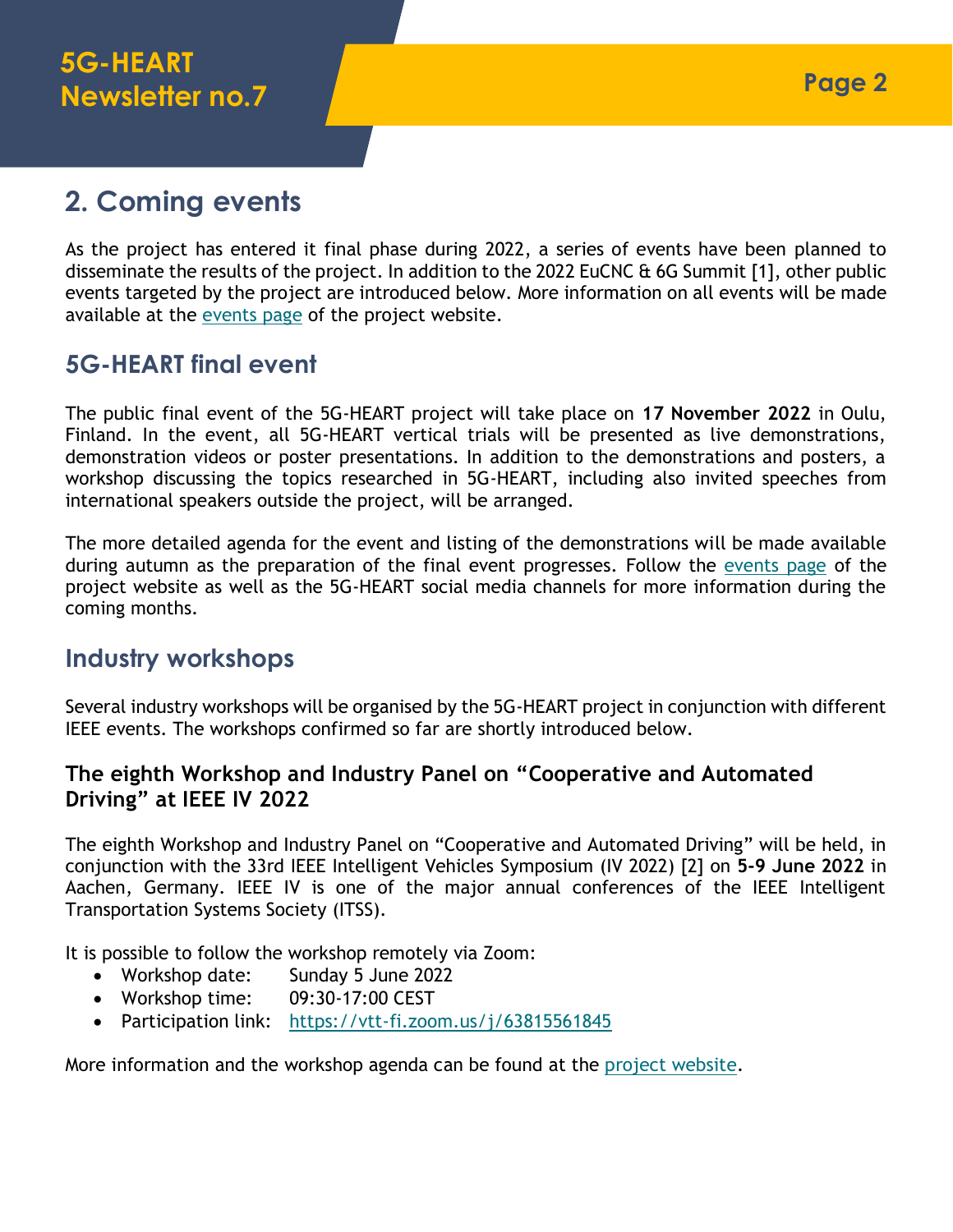# **2. Coming events**

As the project has entered it final phase during 2022, a series of events have been planned to disseminate the results of the project. In addition to the 2022 EuCNC & 6G Summit [1], other public events targeted by the project are introduced below. More information on all events will be made available at the [events page](https://5gheart.org/events/) of the project website.

## **5G-HEART final event**

The public final event of the 5G-HEART project will take place on **17 November 2022** in Oulu, Finland. In the event, all 5G-HEART vertical trials will be presented as live demonstrations, demonstration videos or poster presentations. In addition to the demonstrations and posters, a workshop discussing the topics researched in 5G-HEART, including also invited speeches from international speakers outside the project, will be arranged.

The more detailed agenda for the event and listing of the demonstrations will be made available during autumn as the preparation of the final event progresses. Follow the [events page](https://5gheart.org/events/) of the project website as well as the 5G-HEART social media channels for more information during the coming months.

## **Industry workshops**

Several industry workshops will be organised by the 5G-HEART project in conjunction with different IEEE events. The workshops confirmed so far are shortly introduced below.

#### **The eighth Workshop and Industry Panel on "Cooperative and Automated Driving" at IEEE IV 2022**

The eighth Workshop and Industry Panel on "Cooperative and Automated Driving" will be held, in conjunction with the 33rd IEEE Intelligent Vehicles Symposium (IV 2022) [2] on **5-9 June 2022** in Aachen, Germany. IEEE IV is one of the major annual conferences of the IEEE Intelligent Transportation Systems Society (ITSS).

It is possible to follow the workshop remotely via Zoom:

- Workshop date: Sunday 5 June 2022
- Workshop time: 09:30-17:00 CEST
- Participation link: <https://vtt-fi.zoom.us/j/63815561845>

More information and the workshop agenda can be found at the [project website.](https://5gheart.org/events/the-eighth-workshop-and-industry-panel-on-cooperative-and-automated-driving-at-iv-2022/)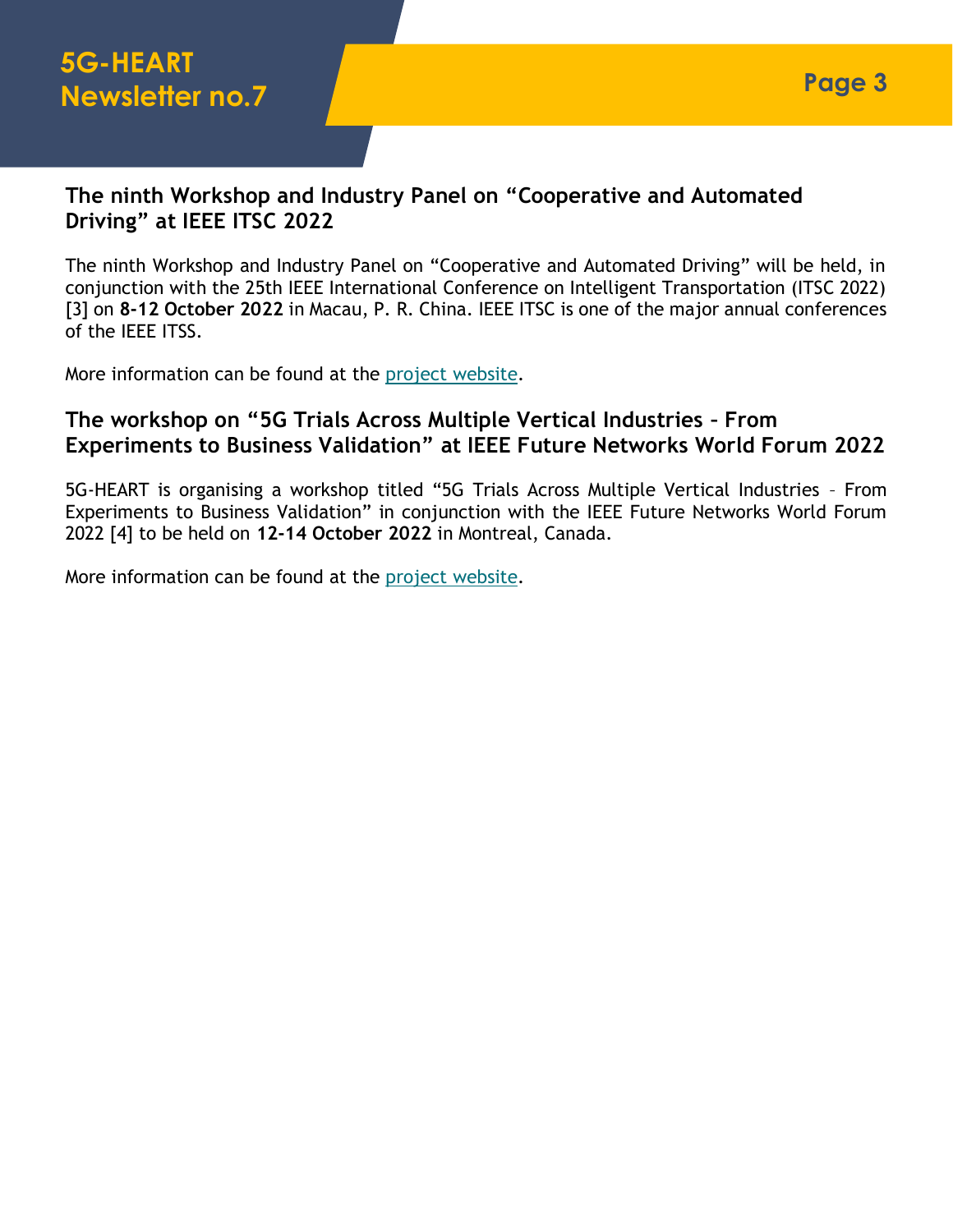#### **The ninth Workshop and Industry Panel on "Cooperative and Automated Driving" at IEEE ITSC 2022**

The ninth Workshop and Industry Panel on "Cooperative and Automated Driving" will be held, in conjunction with the 25th IEEE International Conference on Intelligent Transportation (ITSC 2022) [3] on **8-12 October 2022** in Macau, P. R. China. IEEE ITSC is one of the major annual conferences of the IEEE ITSS.

More information can be found at the [project website.](https://5gheart.org/events/the-ninth-workshop-and-industry-panel-on-cooperative-and-automated-driving-at-itsc-2022/)

#### **The workshop on "5G Trials Across Multiple Vertical Industries – From Experiments to Business Validation" at IEEE Future Networks World Forum 2022**

5G-HEART is organising a workshop titled "5G Trials Across Multiple Vertical Industries – From Experiments to Business Validation" in conjunction with the IEEE Future Networks World Forum 2022 [4] to be held on **12-14 October 2022** in Montreal, Canada.

More information can be found at the [project website.](https://5gheart.org/events/ieee-future-networks-world-forum-2022-workshop/)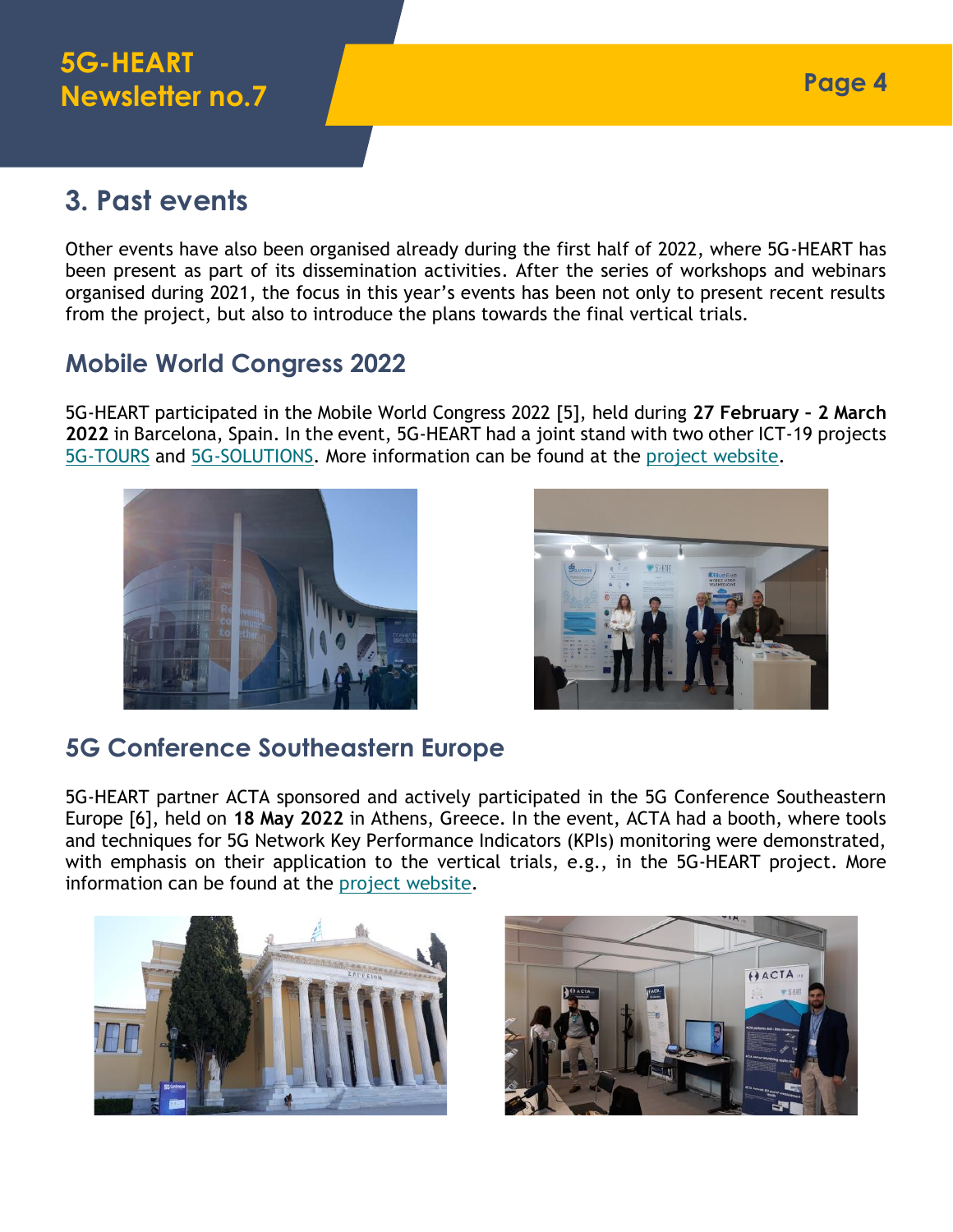# **3. Past events**

Other events have also been organised already during the first half of 2022, where 5G-HEART has been present as part of its dissemination activities. After the series of workshops and webinars organised during 2021, the focus in this year's events has been not only to present recent results from the project, but also to introduce the plans towards the final vertical trials.

## **Mobile World Congress 2022**

5G-HEART participated in the Mobile World Congress 2022 [5], held during **27 February – 2 March 2022** in Barcelona, Spain. In the event, 5G-HEART had a joint stand with two other ICT-19 projects [5G-TOURS](https://5gtours.eu/) and [5G-SOLUTIONS.](https://5gsolutionsproject.eu/) More information can be found at the [project website.](https://5gheart.org/5g-heart-at-mwc22/)





## **5G Conference Southeastern Europe**

5G-HEART partner ACTA sponsored and actively participated in the 5G Conference Southeastern Europe [6], held on **18 May 2022** in Athens, Greece. In the event, ACTA had a booth, where tools and techniques for 5G Network Key Performance Indicators (KPIs) monitoring were demonstrated, with emphasis on their application to the vertical trials, e.g., in the 5G-HEART project. More information can be found at the [project website.](https://5gheart.org/5g-heart-at-the-acta-booth-in-the-5g-conference-southeastern-europe/)